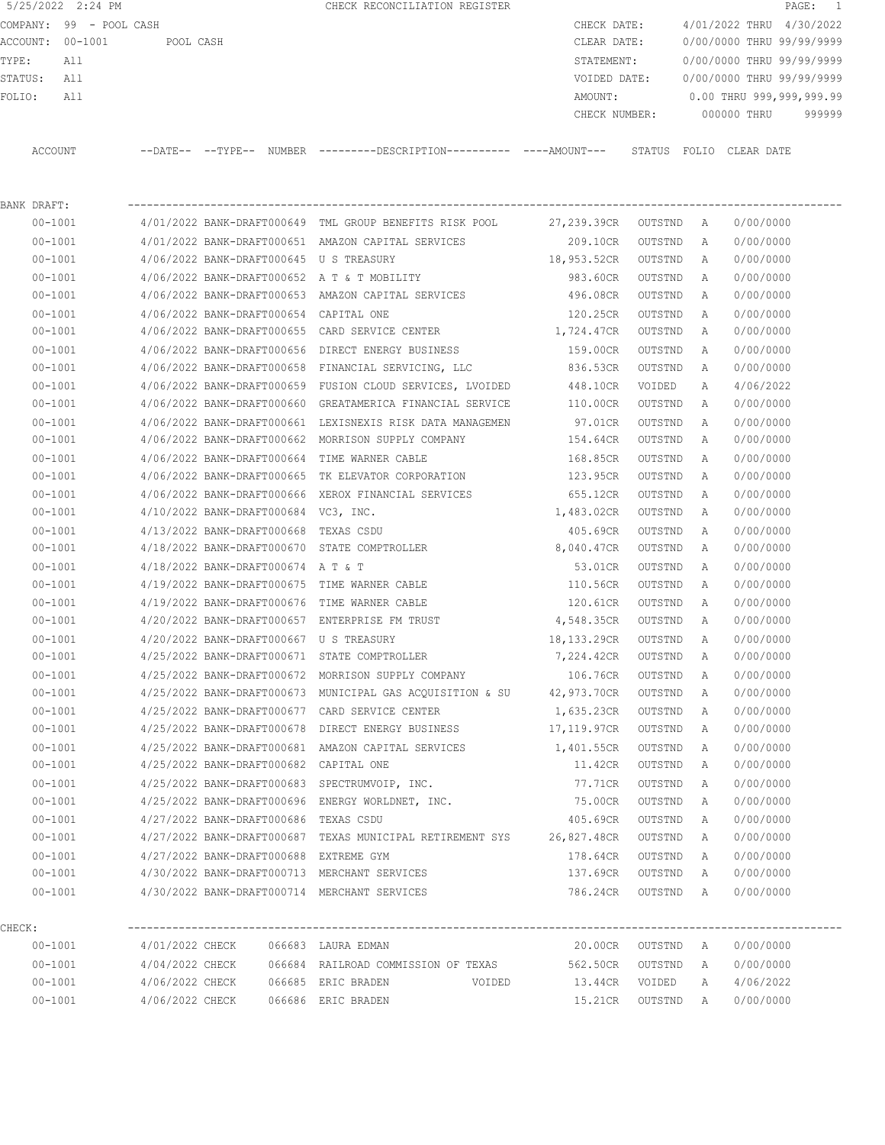|                  | 5/25/2022 2:24 PM       |           |          |               | CHECK RECONCILIATION REGISTER                 |               |                           |            | $\texttt{PAGE}$ : | $\overline{1}$ |
|------------------|-------------------------|-----------|----------|---------------|-----------------------------------------------|---------------|---------------------------|------------|-------------------|----------------|
|                  | COMPANY: 99 - POOL CASH |           |          |               |                                               | CHECK DATE:   | 4/01/2022 THRU            |            | 4/30/2022         |                |
| ACCOUNT: 00-1001 |                         | POOL CASH |          |               |                                               | CLEAR DATE:   | 0/00/0000 THRU 99/99/9999 |            |                   |                |
| TYPE:            | All                     |           |          |               |                                               | STATEMENT:    | 0/00/0000 THRU 99/99/9999 |            |                   |                |
| STATUS:          | All                     |           |          |               |                                               | VOIDED DATE:  | 0/00/0000 THRU 99/99/9999 |            |                   |                |
| FOLIO:           | All                     |           |          |               |                                               | AMOUNT:       | 0.00 THRU 999,999,999.99  |            |                   |                |
|                  |                         |           |          |               |                                               | CHECK NUMBER: | 000000 THRU               |            |                   | 999999         |
|                  |                         |           |          |               |                                               |               |                           |            |                   |                |
| ACCOUNT          |                         | --DATE--  | --TYPR-- | <b>NUMBER</b> | ---------DESCRIPTION----------- ----AMOUNT--- | STATUS        | FOLTO.                    | CLEAR DATE |                   |                |
|                  |                         |           |          |               |                                               |               |                           |            |                   |                |

| BANK DRAFT: |                                              |                                                                                 |                     |         |          |           |  |
|-------------|----------------------------------------------|---------------------------------------------------------------------------------|---------------------|---------|----------|-----------|--|
| $00 - 1001$ |                                              | 4/01/2022 BANK-DRAFT000649 TML GROUP BENEFITS RISK POOL 27,239.39CR OUTSTND A   |                     |         |          | 0/00/0000 |  |
| $00 - 1001$ |                                              | 4/01/2022 BANK-DRAFT000651 AMAZON CAPITAL SERVICES                              | 209.10CR OUTSTND    |         | A        | 0/00/0000 |  |
| $00 - 1001$ |                                              | 4/06/2022 BANK-DRAFT000645 U S TREASURY                                         | 18,953.52CR OUTSTND |         | <b>A</b> | 0/00/0000 |  |
| $00 - 1001$ |                                              | 4/06/2022 BANK-DRAFT000652 A T & T MOBILITY                                     | 983.60CR OUTSTND    |         | A        | 0/00/0000 |  |
| $00 - 1001$ |                                              | 4/06/2022 BANK-DRAFT000653 AMAZON CAPITAL SERVICES                              | 496.08CR            | OUTSTND | A        | 0/00/0000 |  |
| $00 - 1001$ | 4/06/2022 BANK-DRAFT000654 CAPITAL ONE       |                                                                                 | 120.25CR OUTSTND    |         | A        | 0/00/0000 |  |
| $00 - 1001$ |                                              | $4/06/2022$ BANK-DRAFT000655 CARD SERVICE CENTER $1,724.47$ CR OUTSTND          |                     |         | A        | 0/00/0000 |  |
| $00 - 1001$ |                                              | 4/06/2022 BANK-DRAFT000656 DIRECT ENERGY BUSINESS                               | 159.00CR OUTSTND    |         | A        | 0/00/0000 |  |
| $00 - 1001$ |                                              | 4/06/2022 BANK-DRAFT000658 FINANCIAL SERVICING, LLC                             | 836.53CR            | OUTSTND | A        | 0/00/0000 |  |
| $00 - 1001$ |                                              | 4/06/2022 BANK-DRAFT000659 FUSION CLOUD SERVICES, LVOIDED 448.10CR VOIDED       |                     |         | A        | 4/06/2022 |  |
| $00 - 1001$ |                                              | 4/06/2022 BANK-DRAFT000660 GREATAMERICA FINANCIAL SERVICE 110.00CR              |                     | OUTSTND | A        | 0/00/0000 |  |
| $00 - 1001$ |                                              | 4/06/2022 BANK-DRAFT000661 LEXISNEXIS RISK DATA MANAGEMEN 57.01CR OUTSTND       |                     |         | A        | 0/00/0000 |  |
| $00 - 1001$ |                                              | 4/06/2022 BANK-DRAFT000662 MORRISON SUPPLY COMPANY                              | 154.64CR            | OUTSTND | A        | 0/00/0000 |  |
| $00 - 1001$ | 4/06/2022 BANK-DRAFT000664 TIME WARNER CABLE |                                                                                 | 168.85CR            | OUTSTND | A        | 0/00/0000 |  |
| $00 - 1001$ |                                              |                                                                                 |                     |         | A        | 0/00/0000 |  |
| $00 - 1001$ |                                              | 4/06/2022 BANK-DRAFT000666 XEROX FINANCIAL SERVICES                             | 655.12CR OUTSTND    |         | A        | 0/00/0000 |  |
| $00 - 1001$ | 4/10/2022 BANK-DRAFT000684 VC3, INC.         |                                                                                 | 1,483.02CR OUTSTND  |         | A        | 0/00/0000 |  |
| $00 - 1001$ | 4/13/2022 BANK-DRAFT000668 TEXAS CSDU        |                                                                                 | 405.69CR OUTSTND    |         | A        | 0/00/0000 |  |
| $00 - 1001$ |                                              | 4/18/2022 BANK-DRAFT000670 STATE COMPTROLLER                                    | 8,040.47CR OUTSTND  |         | A        | 0/00/0000 |  |
| $00 - 1001$ | 4/18/2022 BANK-DRAFT000674 A T & T           |                                                                                 | 53.01CR             | OUTSTND | A        | 0/00/0000 |  |
| $00 - 1001$ |                                              | 4/19/2022 BANK-DRAFT000675 TIME WARNER CABLE                                    | 110.56CR OUTSTND    |         | A        | 0/00/0000 |  |
| $00 - 1001$ |                                              | 4/19/2022 BANK-DRAFT000676 TIME WARNER CABLE                                    | 120.61CR OUTSTND    |         | A        | 0/00/0000 |  |
| $00 - 1001$ |                                              | $4/20/2022$ BANK-DRAFT000657 ENTERPRISE FM TRUST $4,548.35CR$ OUTSTND           |                     |         | A        | 0/00/0000 |  |
| $00 - 1001$ | 4/20/2022 BANK-DRAFT000667 U S TREASURY      |                                                                                 | 18,133.29CR OUTSTND |         | A        | 0/00/0000 |  |
| $00 - 1001$ |                                              | 4/25/2022 BANK-DRAFT000671 STATE COMPTROLLER                                    | 7,224.42CR OUTSTND  |         | A        | 0/00/0000 |  |
| $00 - 1001$ |                                              | 4/25/2022 BANK-DRAFT000672 MORRISON SUPPLY COMPANY                              | 106.76CR OUTSTND    |         | A        | 0/00/0000 |  |
| 00-1001     |                                              | 4/25/2022 BANK-DRAFT000673 MUNICIPAL GAS ACQUISITION & SU 42,973.70CR OUTSTND   |                     |         | A        | 0/00/0000 |  |
| $00 - 1001$ |                                              | 4/25/2022 BANK-DRAFT000677 CARD SERVICE CENTER                                  | 1,635.23CR OUTSTND  |         | A        | 0/00/0000 |  |
| $00 - 1001$ |                                              | 4/25/2022 BANK-DRAFT000678 DIRECT ENERGY BUSINESS                               | 17,119.97CR OUTSTND |         | A        | 0/00/0000 |  |
| $00 - 1001$ |                                              | 4/25/2022 BANK-DRAFT000681 AMAZON CAPITAL SERVICES 1,401.55CR OUTSTND           |                     |         | A        | 0/00/0000 |  |
| $00 - 1001$ | 4/25/2022 BANK-DRAFT000682 CAPITAL ONE       |                                                                                 | 11.42CR OUTSTND     |         | A        | 0/00/0000 |  |
| $00 - 1001$ |                                              | 4/25/2022 BANK-DRAFT000683 SPECTRUMVOIP, INC.                                   | 77.71CR             | OUTSTND | A        | 0/00/0000 |  |
| $00 - 1001$ |                                              | 4/25/2022 BANK-DRAFT000696 ENERGY WORLDNET, INC.                                | 75.00CR OUTSTND     |         | A        | 0/00/0000 |  |
| $00 - 1001$ | 4/27/2022 BANK-DRAFT000686 TEXAS CSDU        |                                                                                 | 405.69CR OUTSTND A  |         |          | 0/00/0000 |  |
| $00 - 1001$ |                                              | 4/27/2022 BANK-DRAFT000687 TEXAS MUNICIPAL RETIREMENT SYS 26,827.48CR OUTSTND A |                     |         |          | 0/00/0000 |  |
| $00 - 1001$ | 4/27/2022 BANK-DRAFT000688 EXTREME GYM       |                                                                                 | 178.64CR            | OUTSTND | Α        | 0/00/0000 |  |
| $00 - 1001$ |                                              | 4/30/2022 BANK-DRAFT000713 MERCHANT SERVICES                                    | 137.69CR            | OUTSTND | Α        | 0/00/0000 |  |
| $00 - 1001$ |                                              | 4/30/2022 BANK-DRAFT000714 MERCHANT SERVICES                                    | 786.24CR            | OUTSTND | Α        | 0/00/0000 |  |
| CHECK:      |                                              |                                                                                 |                     |         |          |           |  |
| $00 - 1001$ | 4/01/2022 CHECK                              | 066683 LAURA EDMAN                                                              | 20.00CR             | OUTSTND | A        | 0/00/0000 |  |
| $00 - 1001$ | 4/04/2022 CHECK                              | 066684 RAILROAD COMMISSION OF TEXAS                                             | 562.50CR            | OUTSTND | Α        | 0/00/0000 |  |
| $00 - 1001$ | 4/06/2022 CHECK                              | 066685 ERIC BRADEN                                                              | 13.44CR<br>VOIDED   | VOIDED  | Α        | 4/06/2022 |  |
|             |                                              |                                                                                 |                     |         |          |           |  |

00-1001 4/06/2022 CHECK 066686 ERIC BRADEN 15.21CR OUTSTND A 0/00/0000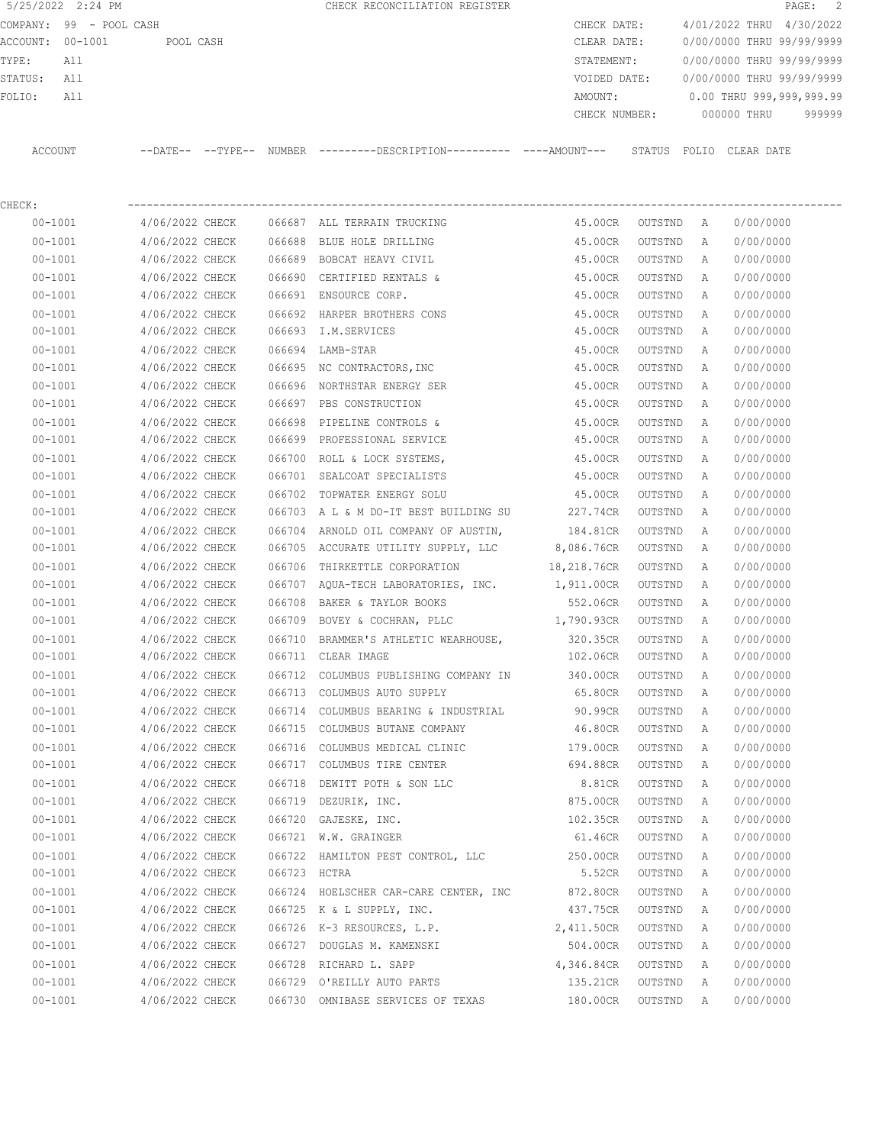COMPANY: 99 - POOL CASH CHECK DATE: 4/01/2022 THRU 4/30/2022 ACCOUNT: 00-1001 POOL CASH CLEAR DATE: 0/00/0000 THRU 99/99/9999 TYPE: All STATEMENT: 0/00/0000 THRU 99/99/9999 STATUS: All VOIDED DATE: 0/00/0000 THRU 99/99/9999 FOLIO: All AMOUNT: 0.00 THRU 999,999,999.99 CHECK NUMBER: 000000 THRU 999999 ACCOUNT --DATE-- --TYPE-- NUMBER ---------DESCRIPTION---------- ----AMOUNT--- STATUS FOLIO CLEAR DATE

5/25/2022 2:24 PM CHECK RECONCILIATION REGISTER PAGE: 2

CHECK: ---------------------------------------------------------------------------------------------------------------- 00-1001 4/06/2022 CHECK 066687 ALL TERRAIN TRUCKING 45.00CR OUTSTND A 0/00/0000 00-1001 4/06/2022 CHECK 066688 BLUE HOLE DRILLING 45.00CR OUTSTND A 0/00/0000 00-1001 4/06/2022 CHECK 066689 BOBCAT HEAVY CIVIL 45.00CR OUTSTND A 0/00/0000 00-1001 4/06/2022 CHECK 066690 CERTIFIED RENTALS & 45.00CR OUTSTND A 0/00/0000 00-1001 4/06/2022 CHECK 066691 ENSOURCE CORP. 45.00CR OUTSTND A 0/00/0000 00-1001 4/06/2022 CHECK 066692 HARPER BROTHERS CONS 45.00CR OUTSTND A 0/00/0000 00-1001 4/06/2022 CHECK 066693 I.M.SERVICES 45.00CR OUTSTND A 0/00/0000 00-1001 4/06/2022 CHECK 066694 LAMB-STAR 45.00CR OUTSTND A 0/00/0000 00-1001 4/06/2022 CHECK 066695 NC CONTRACTORS,INC 45.00CR OUTSTND A 0/00/0000 00-1001 4/06/2022 CHECK 066696 NORTHSTAR ENERGY SER 45.00CR OUTSTND A 0/00/0000 00-1001 4/06/2022 CHECK 066697 PBS CONSTRUCTION 45.00CR OUTSTND A 0/00/0000 00-1001 4/06/2022 CHECK 066698 PIPELINE CONTROLS & 45.00CR OUTSTND A 0/00/0000 00-1001 4/06/2022 CHECK 066699 PROFESSIONAL SERVICE 45.00CR OUTSTND A 0/00/0000 00-1001 4/06/2022 CHECK 066700 ROLL & LOCK SYSTEMS, 45.00CR OUTSTND A 0/00/0000 00-1001 4/06/2022 CHECK 066701 SEALCOAT SPECIALISTS 45.00CR OUTSTND A 0/00/0000 00-1001 4/06/2022 CHECK 066702 TOPWATER ENERGY SOLU 45.00CR OUTSTND A 0/00/0000 00-1001 4/06/2022 CHECK 066703 A L & M DO-IT BEST BUILDING SU 227.74CR OUTSTND A 0/00/0000 00-1001 4/06/2022 CHECK 066704 ARNOLD OIL COMPANY OF AUSTIN, 184.81CR OUTSTND A 0/00/0000 00-1001 4/06/2022 CHECK 066705 ACCURATE UTILITY SUPPLY, LLC 8,086.76CR OUTSTND A 0/00/0000 00-1001 4/06/2022 CHECK 066706 THIRKETTLE CORPORATION 18,218.76CR OUTSTND A 0/00/0000 00-1001 4/06/2022 CHECK 066707 AQUA-TECH LABORATORIES, INC. 1,911.00CR OUTSTND A 0/00/0000 00-1001 4/06/2022 CHECK 066708 BAKER & TAYLOR BOOKS 552.06CR OUTSTND A 0/00/0000 00-1001 4/06/2022 CHECK 066709 BOVEY & COCHRAN, PLLC 1,790.93CR OUTSTND A 0/00/0000 00-1001 4/06/2022 CHECK 066710 BRAMMER'S ATHLETIC WEARHOUSE, 320.35CR OUTSTND A 0/00/0000 00-1001 4/06/2022 CHECK 066711 CLEAR IMAGE 102.06CR OUTSTND A 0/00/0000 00-1001 4/06/2022 CHECK 066712 COLUMBUS PUBLISHING COMPANY IN 340.00CR OUTSTND A 0/00/0000 00-1001 4/06/2022 CHECK 066713 COLUMBUS AUTO SUPPLY 65.80CR OUTSTND A 0/00/0000 00-1001 4/06/2022 CHECK 066714 COLUMBUS BEARING & INDUSTRIAL 90.99CR OUTSTND A 0/00/0000 00-1001 4/06/2022 CHECK 066715 COLUMBUS BUTANE COMPANY 46.80CR OUTSTND A 0/00/0000 00-1001 4/06/2022 CHECK 066716 COLUMBUS MEDICAL CLINIC 179.00CR OUTSTND A 0/00/0000 00-1001 4/06/2022 CHECK 066717 COLUMBUS TIRE CENTER 694.88CR OUTSTND A 0/00/0000 00-1001 4/06/2022 CHECK 066718 DEWITT POTH & SON LLC 8.81CR OUTSTND A 0/00/0000 00-1001 4/06/2022 CHECK 066719 DEZURIK, INC. 875.00CR OUTSTND A 0/00/0000 00-1001 4/06/2022 CHECK 066720 GAJESKE, INC. 102.35CR OUTSTND A 0/00/0000 00-1001 4/06/2022 CHECK 066721 W.W. GRAINGER 61.46CR OUTSTND A 0/00/0000 00-1001 4/06/2022 CHECK 066722 HAMILTON PEST CONTROL, LLC 250.00CR OUTSTND A 0/00/0000 00-1001 4/06/2022 CHECK 066723 HCTRA 5.52CR OUTSTND A 0/00/0000 00-1001 4/06/2022 CHECK 066724 HOELSCHER CAR-CARE CENTER, INC 872.80CR OUTSTND A 0/00/0000 00-1001 4/06/2022 CHECK 066725 K & L SUPPLY, INC. 437.75CR OUTSTND A 0/00/0000 00-1001 4/06/2022 CHECK 066726 K-3 RESOURCES, L.P. 2,411.50CR OUTSTND A 0/00/0000 00-1001 4/06/2022 CHECK 066727 DOUGLAS M. KAMENSKI 504.00CR OUTSTND A 0/00/0000 00-1001 4/06/2022 CHECK 066728 RICHARD L. SAPP 4,346.84CR OUTSTND A 0/00/0000 00-1001 4/06/2022 CHECK 066729 O'REILLY AUTO PARTS 135.21CR OUTSTND A 0/00/0000 00-1001 4/06/2022 CHECK 066730 OMNIBASE SERVICES OF TEXAS 180.00CR OUTSTND A 0/00/0000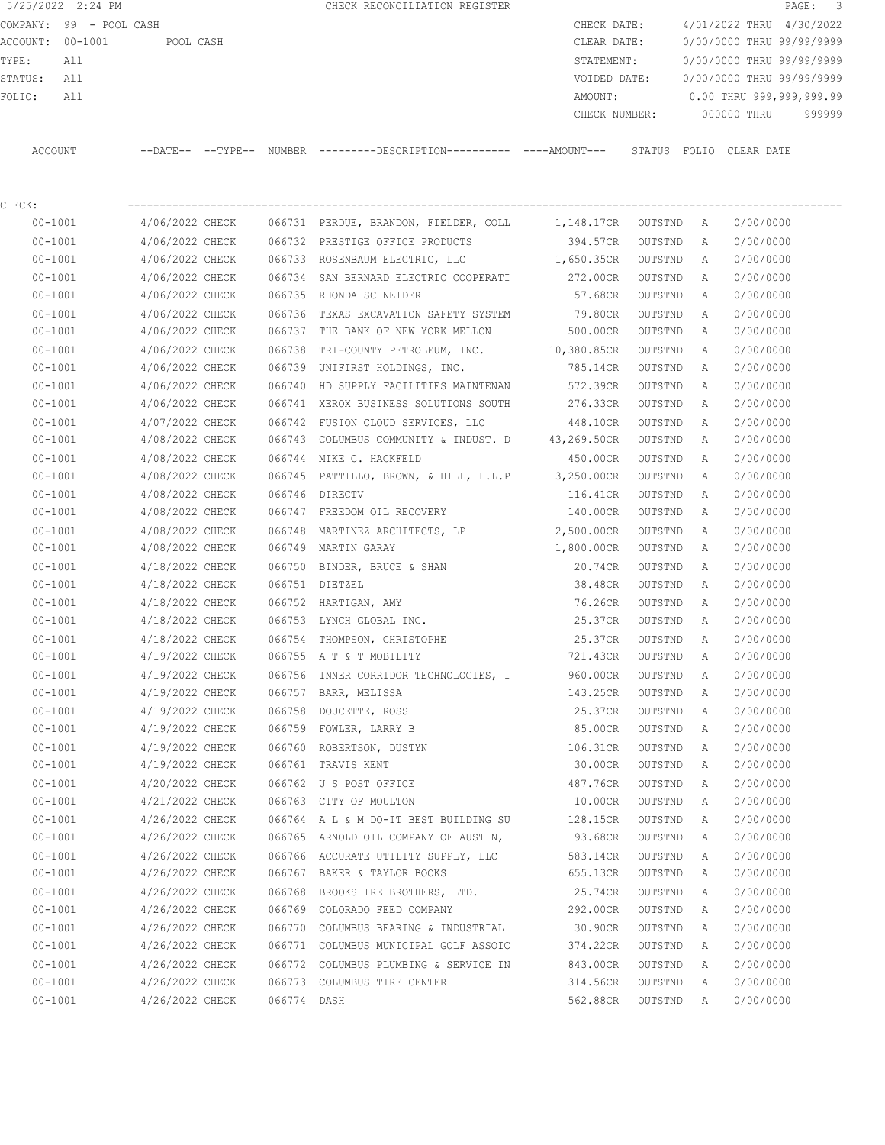|                  | 5/25/2022 2:24 PM       |                            |  | CHECK RECONCILIATION REGISTER                       |               |        |                           | PAGE: 3 |  |
|------------------|-------------------------|----------------------------|--|-----------------------------------------------------|---------------|--------|---------------------------|---------|--|
|                  | COMPANY: 99 - POOL CASH |                            |  |                                                     | CHECK DATE:   |        | 4/01/2022 THRU 4/30/2022  |         |  |
| ACCOUNT: 00-1001 |                         | POOL CASH                  |  |                                                     | CLEAR DATE:   |        | 0/00/0000 THRU 99/99/9999 |         |  |
| TYPE:            | All                     |                            |  |                                                     | STATEMENT:    |        | 0/00/0000 THRU 99/99/9999 |         |  |
| STATUS:          | All                     |                            |  |                                                     | VOIDED DATE:  |        | 0/00/0000 THRU 99/99/9999 |         |  |
| FOLIO:           | All                     |                            |  |                                                     | AMOUNT:       |        | 0.00 THRU 999,999,999.99  |         |  |
|                  |                         |                            |  |                                                     | CHECK NUMBER: |        | 000000 THRU               | 999999  |  |
|                  |                         |                            |  |                                                     |               |        |                           |         |  |
| ACCOUNT          |                         | $--$ DATE $- --$ TYPE $--$ |  | NUMBER ---------DESCRIPTION---------- ----AMOUNT--- |               | STATUS | FOLIO CLEAR DATE          |         |  |
|                  |                         |                            |  |                                                     |               |        |                           |         |  |
|                  |                         |                            |  |                                                     |               |        |                           |         |  |

| CHECK:      |                                        |             |                                                                |                      |         |   |           |
|-------------|----------------------------------------|-------------|----------------------------------------------------------------|----------------------|---------|---|-----------|
| $00 - 1001$ |                                        |             | 4/06/2022 CHECK 066731 PERDUE, BRANDON, FIELDER, COLL          | 1,148.17CR OUTSTND A |         |   | 0/00/0000 |
| $00 - 1001$ | 4/06/2022 CHECK                        |             | 066732 PRESTIGE OFFICE PRODUCTS                                | 394.57CR             | OUTSTND | A | 0/00/0000 |
| $00 - 1001$ | 4/06/2022 CHECK                        |             | 066733 ROSENBAUM ELECTRIC, LLC 1,650.35CR                      |                      | OUTSTND | A | 0/00/0000 |
| $00 - 1001$ | 4/06/2022 CHECK                        |             | 066734 SAN BERNARD ELECTRIC COOPERATI 272.00CR                 |                      | OUTSTND | Α | 0/00/0000 |
| $00 - 1001$ | 4/06/2022 CHECK                        |             | 066735 RHONDA SCHNEIDER                                        | 57.68CR              | OUTSTND | Α | 0/00/0000 |
| $00 - 1001$ | 4/06/2022 CHECK                        |             | 066736 TEXAS EXCAVATION SAFETY SYSTEM 79.80CR                  |                      | OUTSTND | A | 0/00/0000 |
| $00 - 1001$ | 4/06/2022 CHECK                        |             | 066737 THE BANK OF NEW YORK MELLON                             | 500.00CR             | OUTSTND | A | 0/00/0000 |
| $00 - 1001$ |                                        |             | 4/06/2022 CHECK 066738 TRI-COUNTY PETROLEUM, INC. 10,380.85CR  |                      | OUTSTND | A | 0/00/0000 |
| $00 - 1001$ | 4/06/2022 CHECK                        |             | 066739 UNIFIRST HOLDINGS, INC.                                 | 785.14CR             | OUTSTND | A | 0/00/0000 |
| $00 - 1001$ | 4/06/2022 CHECK                        |             | 066740 HD SUPPLY FACILITIES MAINTENAN 572.39CR                 |                      | OUTSTND | А | 0/00/0000 |
| $00 - 1001$ | 4/06/2022 CHECK                        |             | 066741 XEROX BUSINESS SOLUTIONS SOUTH                          | 276.33CR             | OUTSTND | A | 0/00/0000 |
| $00 - 1001$ | 4/07/2022 CHECK                        |             | 066742 FUSION CLOUD SERVICES, LLC                              | 448.10CR             | OUTSTND | A | 0/00/0000 |
| $00 - 1001$ | 4/08/2022 CHECK                        |             | 066743 COLUMBUS COMMUNITY & INDUST. D 43,269.50CR              |                      | OUTSTND | A | 0/00/0000 |
| $00 - 1001$ | 4/08/2022 CHECK                        |             | 066744 MIKE C. HACKFELD                                        | 450.00CR             | OUTSTND | A | 0/00/0000 |
| $00 - 1001$ | 4/08/2022 CHECK                        |             | 066745 PATTILLO, BROWN, & HILL, L.L.P 3,250.00CR               |                      | OUTSTND | A | 0/00/0000 |
| $00 - 1001$ | 4/08/2022 CHECK                        |             | 066746 DIRECTV                                                 | 116.41CR             | OUTSTND | Α | 0/00/0000 |
| $00 - 1001$ |                                        |             | 4/08/2022 CHECK 066747 FREEDOM OIL RECOVERY 140.00CR           |                      | OUTSTND | A | 0/00/0000 |
| $00 - 1001$ |                                        |             | 4/08/2022 CHECK 066748 MARTINEZ ARCHITECTS, LP 2,500.00CR      |                      | OUTSTND | A | 0/00/0000 |
| $00 - 1001$ | 4/08/2022 CHECK                        |             | 066749 MARTIN GARAY                                            | 1,800.00CR           | OUTSTND | A | 0/00/0000 |
| $00 - 1001$ | 4/18/2022 CHECK                        |             | 066750 BINDER, BRUCE & SHAN                                    | 20.74CR              | OUTSTND | A | 0/00/0000 |
| $00 - 1001$ | 4/18/2022 CHECK                        |             | 066751 DIETZEL                                                 | 38.48CR              | OUTSTND | A | 0/00/0000 |
| $00 - 1001$ | 4/18/2022 CHECK                        |             | 066752 HARTIGAN, AMY                                           | 76.26CR              | OUTSTND | A | 0/00/0000 |
| $00 - 1001$ | 4/18/2022 CHECK                        |             | 066753 LYNCH GLOBAL INC.                                       | 25.37CR              | OUTSTND | Α | 0/00/0000 |
| $00 - 1001$ | 4/18/2022 CHECK                        |             | 066754 THOMPSON, CHRISTOPHE                                    | 25.37CR              | OUTSTND | A | 0/00/0000 |
| $00 - 1001$ | 4/19/2022 CHECK                        |             | 066755 A T & T MOBILITY                                        | 721.43CR             | OUTSTND | A | 0/00/0000 |
| $00 - 1001$ | 4/19/2022 CHECK                        | 066756      | INNER CORRIDOR TECHNOLOGIES, I                                 | 960.00CR             | OUTSTND | A | 0/00/0000 |
| $00 - 1001$ | 4/19/2022 CHECK                        | 066757      | BARR, MELISSA                                                  | 143.25CR             | OUTSTND | A | 0/00/0000 |
| $00 - 1001$ | 4/19/2022 CHECK                        | 066758      | DOUCETTE, ROSS                                                 | 25.37CR              | OUTSTND | Α | 0/00/0000 |
| $00 - 1001$ | 4/19/2022 CHECK                        |             | 066759 FOWLER, LARRY B                                         | 85.00CR              | OUTSTND | Α | 0/00/0000 |
| $00 - 1001$ | 4/19/2022 CHECK                        |             | 066760 ROBERTSON, DUSTYN                                       | 106.31CR             | OUTSTND | Α | 0/00/0000 |
| $00 - 1001$ | 4/19/2022 CHECK                        |             | 066761 TRAVIS KENT                                             | 30.00CR              | OUTSTND | A | 0/00/0000 |
| $00 - 1001$ | 4/20/2022 CHECK                        |             | 066762 U S POST OFFICE                                         | 487.76CR             | OUTSTND | Α | 0/00/0000 |
| $00 - 1001$ | 4/21/2022 CHECK 066763 CITY OF MOULTON |             |                                                                | 10.00CR              | OUTSTND | A | 0/00/0000 |
| $00 - 1001$ |                                        |             | 4/26/2022 CHECK 066764 A L & M DO-IT BEST BUILDING SU 128.15CR |                      | OUTSTND | A | 0/00/0000 |
| $00 - 1001$ | 4/26/2022 CHECK                        |             | 066765 ARNOLD OIL COMPANY OF AUSTIN,                           | 93.68CR              | OUTSTND | A | 0/00/0000 |
| $00 - 1001$ | 4/26/2022 CHECK                        |             | 066766 ACCURATE UTILITY SUPPLY, LLC                            | 583.14CR             | OUTSTND | A | 0/00/0000 |
| $00 - 1001$ | 4/26/2022 CHECK                        |             | 066767 BAKER & TAYLOR BOOKS                                    | 655.13CR             | OUTSTND | A | 0/00/0000 |
| $00 - 1001$ | 4/26/2022 CHECK                        | 066768      | BROOKSHIRE BROTHERS, LTD.                                      | 25.74CR              | OUTSTND | Α | 0/00/0000 |
| $00 - 1001$ | 4/26/2022 CHECK                        | 066769      | COLORADO FEED COMPANY                                          | 292.00CR             | OUTSTND | Α | 0/00/0000 |
| $00 - 1001$ | 4/26/2022 CHECK                        | 066770      | COLUMBUS BEARING & INDUSTRIAL                                  | 30.90CR              | OUTSTND | Α | 0/00/0000 |
| $00 - 1001$ | 4/26/2022 CHECK                        | 066771      | COLUMBUS MUNICIPAL GOLF ASSOIC                                 | 374.22CR             | OUTSTND | Α | 0/00/0000 |
| $00 - 1001$ | 4/26/2022 CHECK                        | 066772      | COLUMBUS PLUMBING & SERVICE IN                                 | 843.00CR             | OUTSTND | Α | 0/00/0000 |
| $00 - 1001$ | 4/26/2022 CHECK                        |             | 066773 COLUMBUS TIRE CENTER                                    | 314.56CR             | OUTSTND | Α | 0/00/0000 |
| $00 - 1001$ | 4/26/2022 CHECK                        | 066774 DASH |                                                                | 562.88CR             | OUTSTND | Α | 0/00/0000 |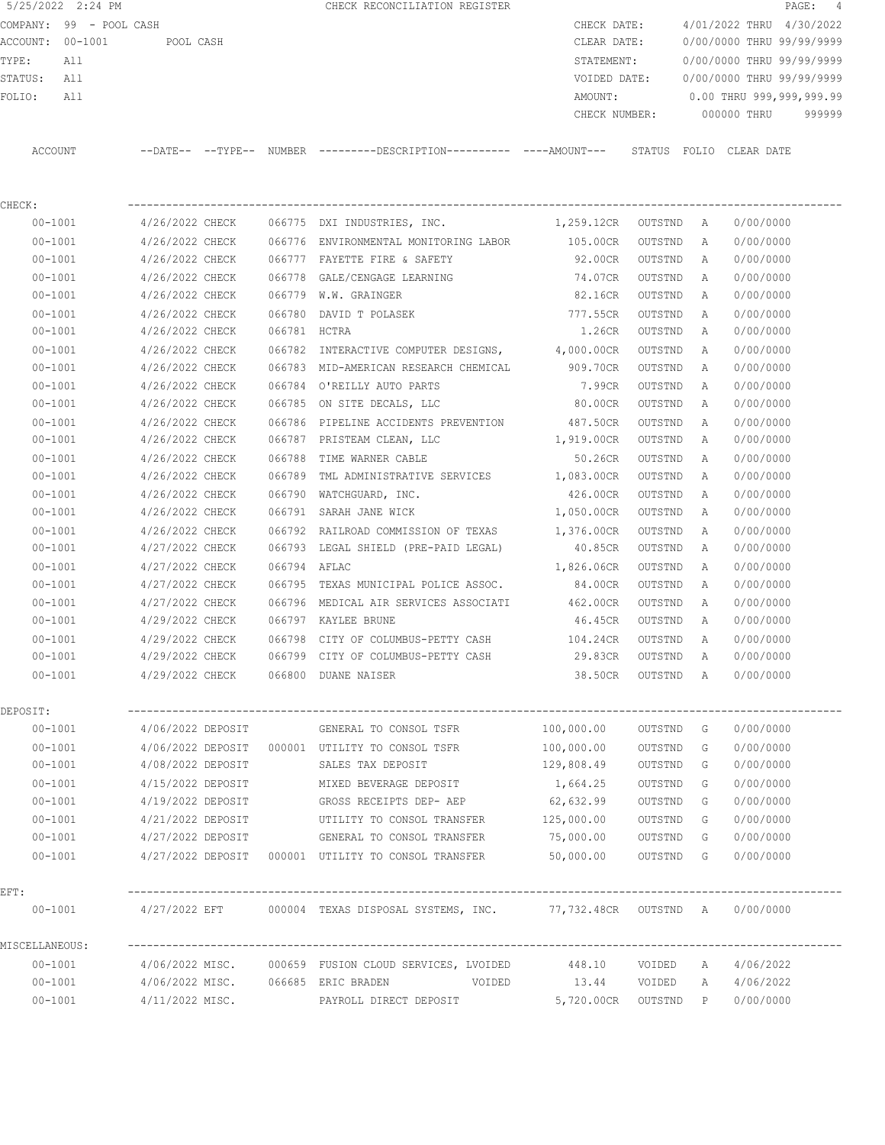|                  | COMPANY: 99 - POOL CASH |                            |        |                                | CHECK DATE:   |              |              |             | 4/01/2022 THRU 4/30/2022  |
|------------------|-------------------------|----------------------------|--------|--------------------------------|---------------|--------------|--------------|-------------|---------------------------|
| ACCOUNT: 00-1001 |                         | POOL CASH                  |        |                                | CLEAR DATE:   |              |              |             | 0/00/0000 THRU 99/99/9999 |
| TYPE:            | All                     |                            |        |                                | STATEMENT:    |              |              |             | 0/00/0000 THRU 99/99/9999 |
| STATUS:          | All                     |                            |        |                                | VOIDED DATE:  |              |              |             | 0/00/0000 THRU 99/99/9999 |
| FOLIO:           | All                     |                            |        |                                | AMOUNT:       |              |              |             | 0.00 THRU 999,999,999.99  |
|                  |                         |                            |        |                                | CHECK NUMBER: |              |              | 000000 THRU | 999999                    |
| ACCOUNT          |                         | $--$ DATE $- --$ TYPE $--$ | NUMBER |                                |               | STATUS FOLIO |              | CLEAR DATE  |                           |
| CHECK:           |                         |                            |        |                                |               |              |              |             |                           |
| $00 - 1001$      |                         | 4/26/2022 CHECK            | 066775 | DXI INDUSTRIES, INC.           | 1,259.12CR    | OUTSTND      | $\mathbb{A}$ | 0/00/0000   |                           |
| $00 - 1001$      |                         | 4/26/2022 CHECK            | 066776 | ENVIRONMENTAL MONITORING LABOR | 105.00CR      | OUTSTND      | A            | 0/00/0000   |                           |

5/25/2022 2:24 PM **CHECK RECONCILIATION REGISTER PAGE: 4** 

| $00 - 1001$      | 4/26/2022 CHECK                     |              | 066776 ENVIRONMENTAL MONITORING LABOR                                  | 105.00CR OUTSTND A   |           |       | 0/00/0000 |  |
|------------------|-------------------------------------|--------------|------------------------------------------------------------------------|----------------------|-----------|-------|-----------|--|
| $00 - 1001$      |                                     |              | $4/26/2022$ CHECK 066777 FAYETTE FIRE & SAFETY                         | 92.00CR OUTSTND      |           | A     | 0/00/0000 |  |
| $00 - 1001$      | 4/26/2022 CHECK                     |              | 066778 GALE/CENGAGE LEARNING                                           | 74.07CR OUTSTND      |           | A     | 0/00/0000 |  |
| $00 - 1001$      | 4/26/2022 CHECK                     |              | 066779 W.W. GRAINGER                                                   | 82.16CR OUTSTND      |           | A     | 0/00/0000 |  |
| $00 - 1001$      | 4/26/2022 CHECK                     |              | 066780 DAVID T POLASEK                                                 | 777.55CR             | OUTSTND   | A     | 0/00/0000 |  |
| $00 - 1001$      | 4/26/2022 CHECK                     | 066781 HCTRA |                                                                        | 1.26CR               | OUTSTND   | A     | 0/00/0000 |  |
| $00 - 1001$      | 4/26/2022 CHECK                     |              | 066782 INTERACTIVE COMPUTER DESIGNS, 4,000.00CR OUTSTND                |                      |           | A     | 0/00/0000 |  |
| $00 - 1001$      |                                     |              | 4/26/2022 CHECK 066783 MID-AMERICAN RESEARCH CHEMICAL 909.70CR OUTSTND |                      |           | A     | 0/00/0000 |  |
| $00 - 1001$      |                                     |              | 4/26/2022 CHECK 066784 O'REILLY AUTO PARTS                             | 7.99CR               | OUTSTND   | A     | 0/00/0000 |  |
| $00 - 1001$      |                                     |              | $4/26/2022$ CHECK $066785$ ON SITE DECALS, LLC                         | 80.00CR OUTSTND      |           | A     | 0/00/0000 |  |
| $00 - 1001$      |                                     |              | 4/26/2022 CHECK 066786 PIPELINE ACCIDENTS PREVENTION 487.50CR          |                      | OUTSTND   | A     | 0/00/0000 |  |
| $00 - 1001$      |                                     |              | 4/26/2022 CHECK 066787 PRISTEAM CLEAN, LLC                             | 1,919.00CR OUTSTND   |           | A     | 0/00/0000 |  |
| $00 - 1001$      |                                     |              | 4/26/2022 CHECK 066788 TIME WARNER CABLE                               | 50.26CR              | OUTSTND   | A     | 0/00/0000 |  |
| $00 - 1001$      | 4/26/2022 CHECK                     |              | 066789 TML ADMINISTRATIVE SERVICES 1,083.00CR OUTSTND                  |                      |           | A     | 0/00/0000 |  |
| $00 - 1001$      | 4/26/2022 CHECK                     |              | 066790 WATCHGUARD, INC.                                                | 426.00CR OUTSTND     |           | A     | 0/00/0000 |  |
| $00 - 1001$      | 4/26/2022 CHECK                     |              | 066791 SARAH JANE WICK                                                 | 1,050.00CR OUTSTND   |           | A     | 0/00/0000 |  |
| $00 - 1001$      | 4/26/2022 CHECK                     |              | 066792 RAILROAD COMMISSION OF TEXAS                                    | 1,376.00CR OUTSTND   |           | A     | 0/00/0000 |  |
| $00 - 1001$      | 4/27/2022 CHECK                     |              | 066793 LEGAL SHIELD (PRE-PAID LEGAL)                                   | 40.85CR OUTSTND      |           | A     | 0/00/0000 |  |
| $00 - 1001$      | 4/27/2022 CHECK                     | 066794 AFLAC |                                                                        | 1,826.06CR OUTSTND   |           | A     | 0/00/0000 |  |
| $00 - 1001$      | 4/27/2022 CHECK                     |              | 066795 TEXAS MUNICIPAL POLICE ASSOC.                                   | 84.00CR OUTSTND      |           | A     | 0/00/0000 |  |
| $00 - 1001$      |                                     |              | 4/27/2022 CHECK 066796 MEDICAL AIR SERVICES ASSOCIATI 462.00CR OUTSTND |                      |           | A     | 0/00/0000 |  |
| $00 - 1001$      | 4/29/2022 CHECK 066797 KAYLEE BRUNE |              |                                                                        | 46.45CR OUTSTND      |           | A     | 0/00/0000 |  |
| $00 - 1001$      |                                     |              | 4/29/2022 CHECK 066798 CITY OF COLUMBUS-PETTY CASH 104.24CR OUTSTND    |                      |           | A     | 0/00/0000 |  |
| $00 - 1001$      |                                     |              | 4/29/2022 CHECK 066799 CITY OF COLUMBUS-PETTY CASH                     | 29.83CR OUTSTND      |           | A     | 0/00/0000 |  |
| $00 - 1001$      | 4/29/2022 CHECK 066800 DUANE NAISER |              |                                                                        | 38.50CR OUTSTND A    |           |       | 0/00/0000 |  |
| DEPOSIT:         |                                     |              |                                                                        |                      |           |       |           |  |
| $00 - 1001$      |                                     |              | $4/06/2022$ DEPOSIT GENERAL TO CONSOL TSFR $100,000.00$ OUTSTND G      |                      |           |       | 0/00/0000 |  |
| $00 - 1001$      |                                     |              | 4/06/2022 DEPOSIT 000001 UTILITY TO CONSOL TSFR                        | 100,000.00           | OUTSTND   | G     | 0/00/0000 |  |
| $00 - 1001$      | 4/08/2022 DEPOSIT                   |              | SALES TAX DEPOSIT                                                      | 129,808.49           | OUTSTND   | G     | 0/00/0000 |  |
| $00 - 1001$      | 4/15/2022 DEPOSIT                   |              | MIXED BEVERAGE DEPOSIT                                                 | 1,664.25             | OUTSTND   | G     | 0/00/0000 |  |
| $00 - 1001$      | 4/19/2022 DEPOSIT                   |              | GROSS RECEIPTS DEP- AEP 62,632.99                                      |                      | OUTSTND   | G     | 0/00/0000 |  |
| $00 - 1001$      | 4/21/2022 DEPOSIT                   |              | UTILITY TO CONSOL TRANSFER                                             | 125,000.00           | OUTSTND   | G     | 0/00/0000 |  |
| $00 - 1001$      | 4/27/2022 DEPOSIT                   |              | GENERAL TO CONSOL TRANSFER 75,000.00                                   |                      | OUTSTND   | $-$ G | 0/00/0000 |  |
| $00 - 1001$      |                                     |              | $4/27/2022$ DEPOSIT 000001 UTILITY TO CONSOL TRANSFER $50,000.00$      |                      | OUTSTND G |       | 0/00/0000 |  |
| $\texttt{EFT}$ : |                                     |              |                                                                        |                      |           |       |           |  |
| 00-1001          | 4/27/2022 EFT                       |              | 000004 TEXAS DISPOSAL SYSTEMS, INC. 77,732.48CR OUTSTND A              |                      |           |       | 0/00/0000 |  |
| MISCELLANEOUS:   |                                     |              |                                                                        |                      |           |       |           |  |
| $00 - 1001$      |                                     |              | 4/06/2022 MISC. 000659 FUSION CLOUD SERVICES, LVOIDED                  | 448.10               | VOIDED    | A     | 4/06/2022 |  |
| $00 - 1001$      | 4/06/2022 MISC. 066685 ERIC BRADEN  |              | VOIDED                                                                 | 13.44                | VOIDED    | A     | 4/06/2022 |  |
| $00 - 1001$      | 4/11/2022 MISC.                     |              | PAYROLL DIRECT DEPOSIT                                                 | 5,720.00CR OUTSTND P |           |       | 0/00/0000 |  |